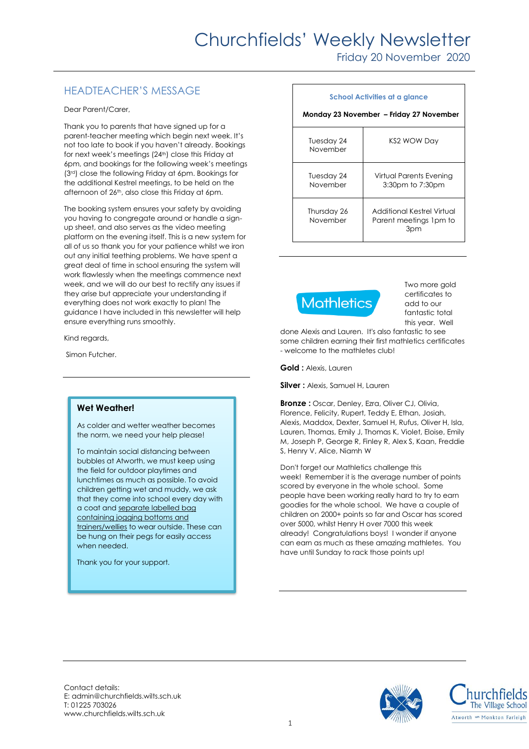# Churchfields' Weekly Newsletter

Friday 20 November 2020

# HEADTEACHER'S MESSAGE

Dear Parent/Carer,

Thank you to parents that have signed up for a parent-teacher meeting which begin next week. It's not too late to book if you haven't already. Bookings for next week's meetings (24th) close this Friday at 6pm, and bookings for the following week's meetings (3rd) close the following Friday at 6pm. Bookings for the additional Kestrel meetings, to be held on the afternoon of 26th, also close this Friday at 6pm.

The booking system ensures your safety by avoiding you having to congregate around or handle a signup sheet, and also serves as the video meeting platform on the evening itself. This is a new system for all of us so thank you for your patience whilst we iron out any initial teething problems. We have spent a great deal of time in school ensuring the system will work flawlessly when the meetings commence next week, and we will do our best to rectify any issues if they arise but appreciate your understanding if everything does not work exactly to plan! The guidance I have included in this newsletter will help ensure everything runs smoothly.

Kind regards,

Simon Futcher.

### **Wet Weather!**

As colder and wetter weather becomes the norm, we need your help please!

To maintain social distancing between bubbles at Atworth, we must keep using the field for outdoor playtimes and lunchtimes as much as possible. To avoid children getting wet and muddy, we ask that they come into school every day with a coat and separate labelled bag containing jogging bottoms and trainers/wellies to wear outside. These can be hung on their pegs for easily access when needed.

Thank you for your support.

#### **School Activities at a glance Monday 23 November – Friday 27 November**  Tuesday 24 November KS2 WOW Day Tuesday 24 November Virtual Parents Evening 3:30pm to 7:30pm Thursday 26 November Additional Kestrel Virtual Parent meetings 1pm to 3pm



Two more gold certificates to add to our fantastic total this year. Well

done Alexis and Lauren. It's also fantastic to see some children earning their first mathletics certificates - welcome to the mathletes club!

**Gold :** Alexis, Lauren

**Silver :** Alexis, Samuel H, Lauren

**Bronze :** Oscar, Denley, Ezra, Oliver CJ, Olivia, Florence, Felicity, Rupert, Teddy E, Ethan, Josiah, Alexis, Maddox, Dexter, Samuel H, Rufus, Oliver H, Isla, Lauren, Thomas, Emily J, Thomas K, Violet, Eloise, Emily M, Joseph P, George R, Finley R, Alex S, Kaan, Freddie S, Henry V, Alice, Niamh W

Don't forget our Mathletics challenge this week! Remember it is the average number of points scored by everyone in the whole school. Some people have been working really hard to try to earn goodies for the whole school. We have a couple of children on 2000+ points so far and Oscar has scored over 5000, whilst Henry H over 7000 this week already! Congratulations boys! I wonder if anyone can earn as much as these amazing mathletes. You have until Sunday to rack those points up!

Contact details: E: admin@churchfields.wilts.sch.uk T: 01225 703026 www.churchfields.wilts.sch.uk



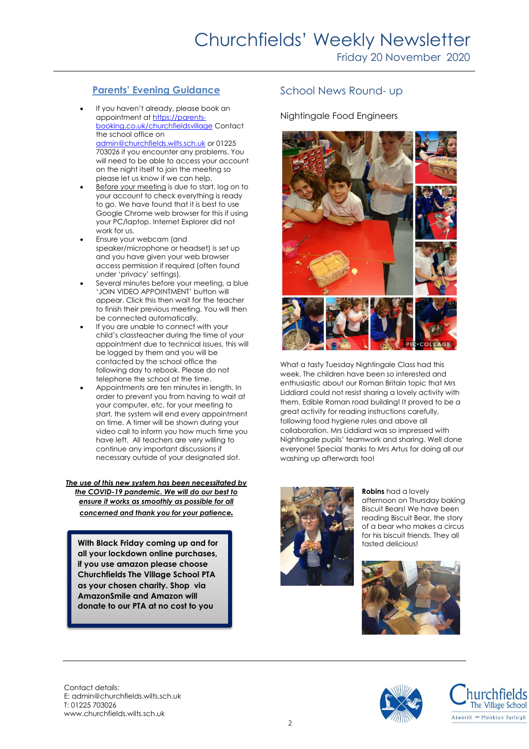## **Parents' Evening Guidance**

- If you haven't already, please book an appointment a[t https://parents](https://parents-booking.co.uk/churchfieldsvillage)[booking.co.uk/churchfieldsvillage](https://parents-booking.co.uk/churchfieldsvillage) Contact the school office on [admin@churchfields.wilts.sch.uk](mailto:admin@churchfields.wilts.sch.uk) or 01225 703026 if you encounter any problems. You will need to be able to access your account on the night itself to join the meeting so please let us know if we can help.
- Before your meeting is due to start, log on to your account to check everything is ready to go. We have found that it is best to use Google Chrome web browser for this if using your PC/laptop. Internet Explorer did not work for us.
- Ensure your webcam (and speaker/microphone or headset) is set up and you have given your web browser access permission if required (often found under 'privacy' settings).
- Several minutes before your meeting, a blue 'JOIN VIDEO APPOINTMENT' button will appear. Click this then wait for the teacher to finish their previous meeting. You will then be connected automatically.
- If you are unable to connect with your child's classteacher during the time of your appointment due to technical issues, this will be logged by them and you will be contacted by the school office the following day to rebook. Please do not telephone the school at the time.
- Appointments are ten minutes in length. In order to prevent you from having to wait at your computer, etc. for your meeting to start, the system will end every appointment on time. A timer will be shown during your video call to inform you how much time you have left. All teachers are very willing to continue any important discussions if necessary outside of your designated slot.

*The use of this new system has been necessitated by the COVID-19 pandemic. We will do our best to ensure it works as smoothly as possible for all concerned and thank you for your patience.*

**With Black Friday coming up and for <b>the community of the stated delicious! all your lockdown online purchases, if you use amazon please choose Churchfields The Village School PTA as your chosen charity. Shop via AmazonSmile and Amazon will donate to our PTA at no cost to you** 

## School News Round- up

### Nightingale Food Engineers



What a tasty Tuesday Nightingale Class had this week. The children have been so interested and enthusiastic about our Roman Britain topic that Mrs Liddiard could not resist sharing a lovely activity with them. Edible Roman road building! It proved to be a great activity for reading instructions carefully, following food hygiene rules and above all collaboration. Mrs Liddiard was so impressed with Nightingale pupils' teamwork and sharing. Well done everyone! Special thanks to Mrs Artus for doing all our washing up afterwards too!



**Robins** had a lovely afternoon on Thursday baking Biscuit Bears! We have been reading Biscuit Bear, the story of a bear who makes a circus for his biscuit friends. They all



Contact details: E: admin@churchfields.wilts.sch.uk T: 01225 703026 www.churchfields.wilts.sch.uk